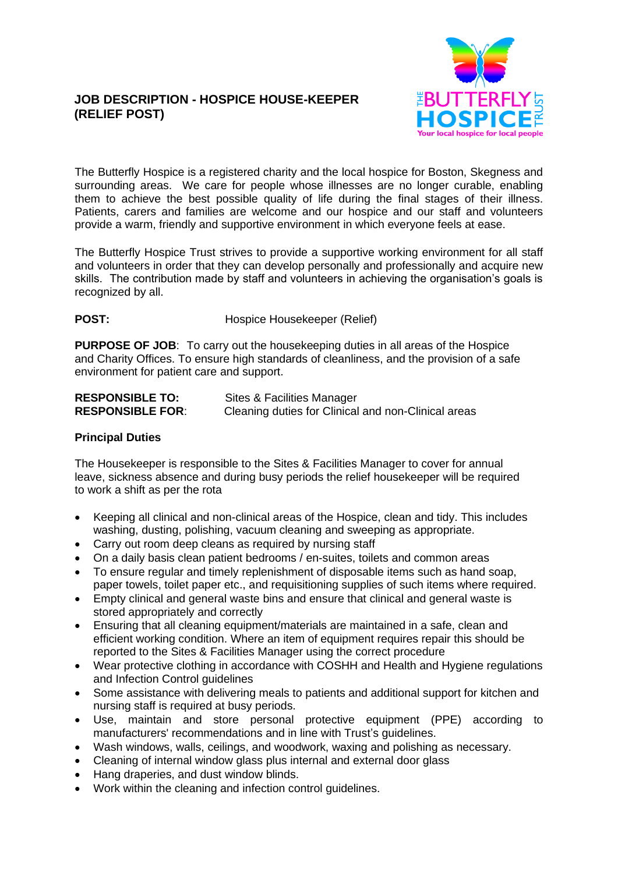# **JOB DESCRIPTION - HOSPICE HOUSE-KEEPER (RELIEF POST)**



The Butterfly Hospice is a registered charity and the local hospice for Boston, Skegness and surrounding areas. We care for people whose illnesses are no longer curable, enabling them to achieve the best possible quality of life during the final stages of their illness. Patients, carers and families are welcome and our hospice and our staff and volunteers provide a warm, friendly and supportive environment in which everyone feels at ease.

The Butterfly Hospice Trust strives to provide a supportive working environment for all staff and volunteers in order that they can develop personally and professionally and acquire new skills. The contribution made by staff and volunteers in achieving the organisation's goals is recognized by all.

# **POST:** Hospice Housekeeper (Relief)

**PURPOSE OF JOB**: To carry out the housekeeping duties in all areas of the Hospice and Charity Offices. To ensure high standards of cleanliness, and the provision of a safe environment for patient care and support.

| <b>RESPONSIBLE TO:</b>  | Sites & Facilities Manager                          |
|-------------------------|-----------------------------------------------------|
| <b>RESPONSIBLE FOR:</b> | Cleaning duties for Clinical and non-Clinical areas |

## **Principal Duties**

The Housekeeper is responsible to the Sites & Facilities Manager to cover for annual leave, sickness absence and during busy periods the relief housekeeper will be required to work a shift as per the rota

- Keeping all clinical and non-clinical areas of the Hospice, clean and tidy. This includes washing, dusting, polishing, vacuum cleaning and sweeping as appropriate.
- Carry out room deep cleans as required by nursing staff
- On a daily basis clean patient bedrooms / en-suites, toilets and common areas
- To ensure regular and timely replenishment of disposable items such as hand soap, paper towels, toilet paper etc., and requisitioning supplies of such items where required.
- Empty clinical and general waste bins and ensure that clinical and general waste is stored appropriately and correctly
- Ensuring that all cleaning equipment/materials are maintained in a safe, clean and efficient working condition. Where an item of equipment requires repair this should be reported to the Sites & Facilities Manager using the correct procedure
- Wear protective clothing in accordance with COSHH and Health and Hygiene regulations and Infection Control guidelines
- Some assistance with delivering meals to patients and additional support for kitchen and nursing staff is required at busy periods.
- Use, maintain and store personal protective equipment (PPE) according to manufacturers' recommendations and in line with Trust's guidelines.
- Wash windows, walls, ceilings, and woodwork, waxing and polishing as necessary.
- Cleaning of internal window glass plus internal and external door glass
- Hang draperies, and dust window blinds.
- Work within the cleaning and infection control guidelines.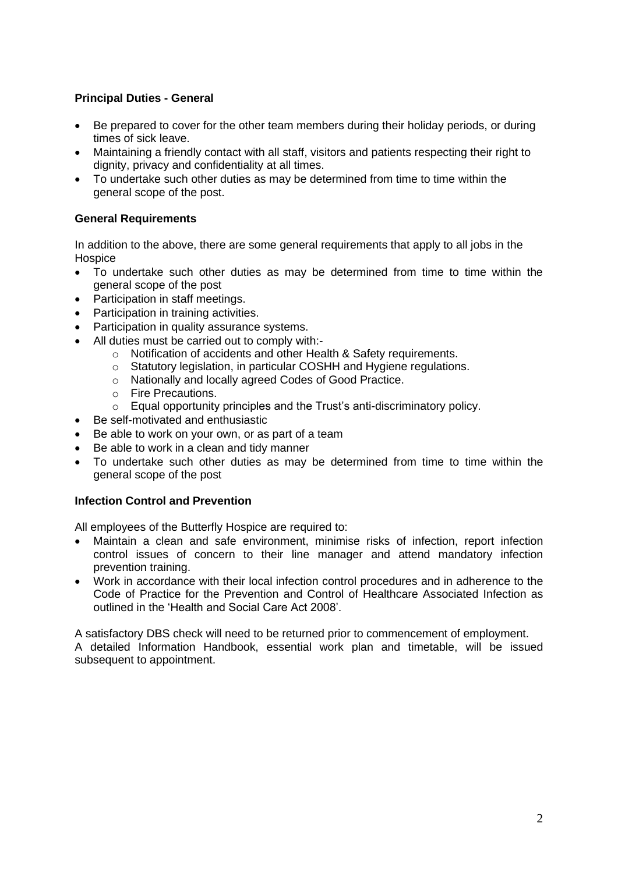# **Principal Duties - General**

- Be prepared to cover for the other team members during their holiday periods, or during times of sick leave.
- Maintaining a friendly contact with all staff, visitors and patients respecting their right to dignity, privacy and confidentiality at all times.
- To undertake such other duties as may be determined from time to time within the general scope of the post.

## **General Requirements**

In addition to the above, there are some general requirements that apply to all jobs in the **Hospice** 

- To undertake such other duties as may be determined from time to time within the general scope of the post
- Participation in staff meetings.
- Participation in training activities.
- Participation in quality assurance systems.
- All duties must be carried out to comply with:
	- o Notification of accidents and other Health & Safety requirements.
	- o Statutory legislation, in particular COSHH and Hygiene regulations.
	- o Nationally and locally agreed Codes of Good Practice.
	- o Fire Precautions.
	- o Equal opportunity principles and the Trust's anti-discriminatory policy.
- Be self-motivated and enthusiastic
- Be able to work on your own, or as part of a team
- Be able to work in a clean and tidy manner
- To undertake such other duties as may be determined from time to time within the general scope of the post

## **Infection Control and Prevention**

All employees of the Butterfly Hospice are required to:

- Maintain a clean and safe environment, minimise risks of infection, report infection control issues of concern to their line manager and attend mandatory infection prevention training.
- Work in accordance with their local infection control procedures and in adherence to the Code of Practice for the Prevention and Control of Healthcare Associated Infection as outlined in the 'Health and Social Care Act 2008'.

A satisfactory DBS check will need to be returned prior to commencement of employment.

A detailed Information Handbook, essential work plan and timetable, will be issued subsequent to appointment.